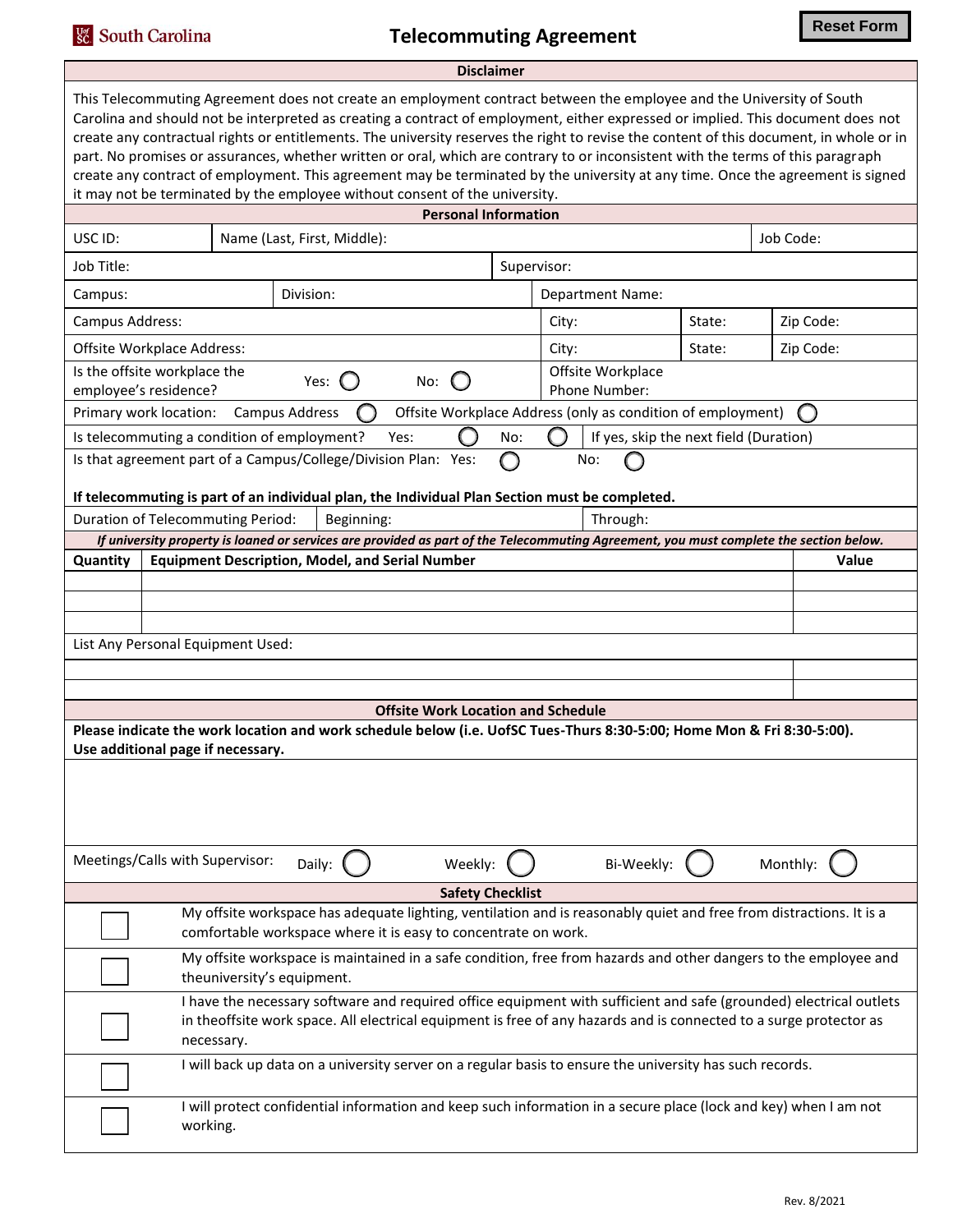<sup>Ust</sup> South Carolina

## **Telecommuting Agreement**

|                                                                                                                                                                                                                                                                                                                                                                                                                                                                                                                                                                                                                                                                                                                                                           |                                                                                                                                                             |            |                                           | <b>Disclaimer</b> |                  |                                                             |        |           |           |
|-----------------------------------------------------------------------------------------------------------------------------------------------------------------------------------------------------------------------------------------------------------------------------------------------------------------------------------------------------------------------------------------------------------------------------------------------------------------------------------------------------------------------------------------------------------------------------------------------------------------------------------------------------------------------------------------------------------------------------------------------------------|-------------------------------------------------------------------------------------------------------------------------------------------------------------|------------|-------------------------------------------|-------------------|------------------|-------------------------------------------------------------|--------|-----------|-----------|
| This Telecommuting Agreement does not create an employment contract between the employee and the University of South<br>Carolina and should not be interpreted as creating a contract of employment, either expressed or implied. This document does not<br>create any contractual rights or entitlements. The university reserves the right to revise the content of this document, in whole or in<br>part. No promises or assurances, whether written or oral, which are contrary to or inconsistent with the terms of this paragraph<br>create any contract of employment. This agreement may be terminated by the university at any time. Once the agreement is signed<br>it may not be terminated by the employee without consent of the university. |                                                                                                                                                             |            |                                           |                   |                  |                                                             |        |           |           |
|                                                                                                                                                                                                                                                                                                                                                                                                                                                                                                                                                                                                                                                                                                                                                           |                                                                                                                                                             |            | <b>Personal Information</b>               |                   |                  |                                                             |        |           |           |
| USC ID:                                                                                                                                                                                                                                                                                                                                                                                                                                                                                                                                                                                                                                                                                                                                                   | Name (Last, First, Middle):                                                                                                                                 |            |                                           |                   |                  |                                                             |        | Job Code: |           |
| Job Title:                                                                                                                                                                                                                                                                                                                                                                                                                                                                                                                                                                                                                                                                                                                                                |                                                                                                                                                             |            |                                           |                   | Supervisor:      |                                                             |        |           |           |
| Division:<br>Campus:                                                                                                                                                                                                                                                                                                                                                                                                                                                                                                                                                                                                                                                                                                                                      |                                                                                                                                                             |            |                                           |                   | Department Name: |                                                             |        |           |           |
| Campus Address:                                                                                                                                                                                                                                                                                                                                                                                                                                                                                                                                                                                                                                                                                                                                           |                                                                                                                                                             |            |                                           |                   | City:<br>State:  |                                                             |        |           | Zip Code: |
| Offsite Workplace Address:                                                                                                                                                                                                                                                                                                                                                                                                                                                                                                                                                                                                                                                                                                                                |                                                                                                                                                             |            |                                           |                   | City:            |                                                             | State: |           | Zip Code: |
| Offsite Workplace<br>Is the offsite workplace the<br>Yes: $\bigcup$<br>No:<br>employee's residence?<br>Phone Number:                                                                                                                                                                                                                                                                                                                                                                                                                                                                                                                                                                                                                                      |                                                                                                                                                             |            |                                           |                   |                  |                                                             |        |           |           |
| Primary work location:                                                                                                                                                                                                                                                                                                                                                                                                                                                                                                                                                                                                                                                                                                                                    | Campus Address                                                                                                                                              |            |                                           |                   |                  | Offsite Workplace Address (only as condition of employment) |        |           |           |
|                                                                                                                                                                                                                                                                                                                                                                                                                                                                                                                                                                                                                                                                                                                                                           | Is telecommuting a condition of employment?                                                                                                                 | Yes:       |                                           | No:               |                  | If yes, skip the next field (Duration)                      |        |           |           |
|                                                                                                                                                                                                                                                                                                                                                                                                                                                                                                                                                                                                                                                                                                                                                           | Is that agreement part of a Campus/College/Division Plan: Yes:                                                                                              |            |                                           |                   |                  | No:                                                         |        |           |           |
|                                                                                                                                                                                                                                                                                                                                                                                                                                                                                                                                                                                                                                                                                                                                                           | If telecommuting is part of an individual plan, the Individual Plan Section must be completed.                                                              |            |                                           |                   |                  |                                                             |        |           |           |
|                                                                                                                                                                                                                                                                                                                                                                                                                                                                                                                                                                                                                                                                                                                                                           | <b>Duration of Telecommuting Period:</b>                                                                                                                    | Beginning: |                                           |                   |                  | Through:                                                    |        |           |           |
|                                                                                                                                                                                                                                                                                                                                                                                                                                                                                                                                                                                                                                                                                                                                                           | If university property is loaned or services are provided as part of the Telecommuting Agreement, you must complete the section below.                      |            |                                           |                   |                  |                                                             |        |           |           |
| Quantity                                                                                                                                                                                                                                                                                                                                                                                                                                                                                                                                                                                                                                                                                                                                                  | <b>Equipment Description, Model, and Serial Number</b>                                                                                                      |            |                                           |                   |                  |                                                             |        |           | Value     |
|                                                                                                                                                                                                                                                                                                                                                                                                                                                                                                                                                                                                                                                                                                                                                           |                                                                                                                                                             |            |                                           |                   |                  |                                                             |        |           |           |
|                                                                                                                                                                                                                                                                                                                                                                                                                                                                                                                                                                                                                                                                                                                                                           |                                                                                                                                                             |            |                                           |                   |                  |                                                             |        |           |           |
|                                                                                                                                                                                                                                                                                                                                                                                                                                                                                                                                                                                                                                                                                                                                                           | List Any Personal Equipment Used:                                                                                                                           |            |                                           |                   |                  |                                                             |        |           |           |
|                                                                                                                                                                                                                                                                                                                                                                                                                                                                                                                                                                                                                                                                                                                                                           |                                                                                                                                                             |            |                                           |                   |                  |                                                             |        |           |           |
|                                                                                                                                                                                                                                                                                                                                                                                                                                                                                                                                                                                                                                                                                                                                                           |                                                                                                                                                             |            |                                           |                   |                  |                                                             |        |           |           |
|                                                                                                                                                                                                                                                                                                                                                                                                                                                                                                                                                                                                                                                                                                                                                           |                                                                                                                                                             |            | <b>Offsite Work Location and Schedule</b> |                   |                  |                                                             |        |           |           |
|                                                                                                                                                                                                                                                                                                                                                                                                                                                                                                                                                                                                                                                                                                                                                           | Please indicate the work location and work schedule below (i.e. UofSC Tues-Thurs 8:30-5:00; Home Mon & Fri 8:30-5:00).<br>Use additional page if necessary. |            |                                           |                   |                  |                                                             |        |           |           |
|                                                                                                                                                                                                                                                                                                                                                                                                                                                                                                                                                                                                                                                                                                                                                           |                                                                                                                                                             |            |                                           |                   |                  |                                                             |        |           |           |
|                                                                                                                                                                                                                                                                                                                                                                                                                                                                                                                                                                                                                                                                                                                                                           | Meetings/Calls with Supervisor:                                                                                                                             | Daily:     | Weekly:                                   |                   |                  | Bi-Weekly:                                                  |        | Monthly:  |           |
|                                                                                                                                                                                                                                                                                                                                                                                                                                                                                                                                                                                                                                                                                                                                                           |                                                                                                                                                             |            | <b>Safety Checklist</b>                   |                   |                  |                                                             |        |           |           |
| My offsite workspace has adequate lighting, ventilation and is reasonably quiet and free from distractions. It is a<br>comfortable workspace where it is easy to concentrate on work.                                                                                                                                                                                                                                                                                                                                                                                                                                                                                                                                                                     |                                                                                                                                                             |            |                                           |                   |                  |                                                             |        |           |           |
| My offsite workspace is maintained in a safe condition, free from hazards and other dangers to the employee and<br>theuniversity's equipment.                                                                                                                                                                                                                                                                                                                                                                                                                                                                                                                                                                                                             |                                                                                                                                                             |            |                                           |                   |                  |                                                             |        |           |           |
| I have the necessary software and required office equipment with sufficient and safe (grounded) electrical outlets<br>in theoffsite work space. All electrical equipment is free of any hazards and is connected to a surge protector as<br>necessary.                                                                                                                                                                                                                                                                                                                                                                                                                                                                                                    |                                                                                                                                                             |            |                                           |                   |                  |                                                             |        |           |           |
|                                                                                                                                                                                                                                                                                                                                                                                                                                                                                                                                                                                                                                                                                                                                                           | I will back up data on a university server on a regular basis to ensure the university has such records.                                                    |            |                                           |                   |                  |                                                             |        |           |           |
|                                                                                                                                                                                                                                                                                                                                                                                                                                                                                                                                                                                                                                                                                                                                                           | I will protect confidential information and keep such information in a secure place (lock and key) when I am not<br>working.                                |            |                                           |                   |                  |                                                             |        |           |           |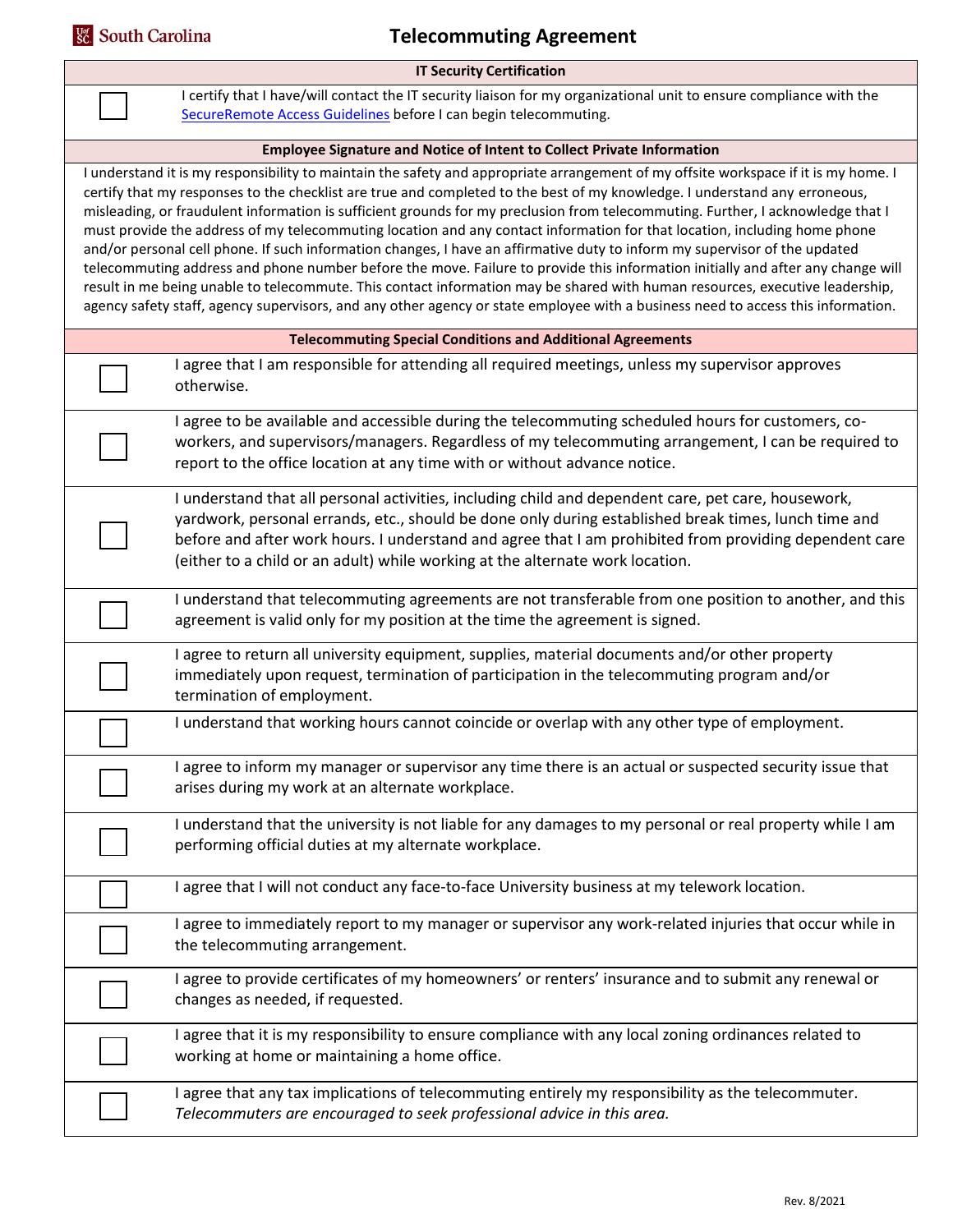| <b>Sc</b> South Carolina<br><b>Telecommuting Agreement</b>                    |                                                                                                                                                                                                                                                                                                                                                                                                                                                                                                                                                                                                                                                                                                                                                                                                                                                                                                                                                                                                                                                                        |  |  |  |  |  |  |  |
|-------------------------------------------------------------------------------|------------------------------------------------------------------------------------------------------------------------------------------------------------------------------------------------------------------------------------------------------------------------------------------------------------------------------------------------------------------------------------------------------------------------------------------------------------------------------------------------------------------------------------------------------------------------------------------------------------------------------------------------------------------------------------------------------------------------------------------------------------------------------------------------------------------------------------------------------------------------------------------------------------------------------------------------------------------------------------------------------------------------------------------------------------------------|--|--|--|--|--|--|--|
| <b>IT Security Certification</b>                                              |                                                                                                                                                                                                                                                                                                                                                                                                                                                                                                                                                                                                                                                                                                                                                                                                                                                                                                                                                                                                                                                                        |  |  |  |  |  |  |  |
|                                                                               | I certify that I have/will contact the IT security liaison for my organizational unit to ensure compliance with the<br>SecureRemote Access Guidelines before I can begin telecommuting.                                                                                                                                                                                                                                                                                                                                                                                                                                                                                                                                                                                                                                                                                                                                                                                                                                                                                |  |  |  |  |  |  |  |
| <b>Employee Signature and Notice of Intent to Collect Private Information</b> |                                                                                                                                                                                                                                                                                                                                                                                                                                                                                                                                                                                                                                                                                                                                                                                                                                                                                                                                                                                                                                                                        |  |  |  |  |  |  |  |
|                                                                               | I understand it is my responsibility to maintain the safety and appropriate arrangement of my offsite workspace if it is my home. I<br>certify that my responses to the checklist are true and completed to the best of my knowledge. I understand any erroneous,<br>misleading, or fraudulent information is sufficient grounds for my preclusion from telecommuting. Further, I acknowledge that I<br>must provide the address of my telecommuting location and any contact information for that location, including home phone<br>and/or personal cell phone. If such information changes, I have an affirmative duty to inform my supervisor of the updated<br>telecommuting address and phone number before the move. Failure to provide this information initially and after any change will<br>result in me being unable to telecommute. This contact information may be shared with human resources, executive leadership,<br>agency safety staff, agency supervisors, and any other agency or state employee with a business need to access this information. |  |  |  |  |  |  |  |
|                                                                               | <b>Telecommuting Special Conditions and Additional Agreements</b>                                                                                                                                                                                                                                                                                                                                                                                                                                                                                                                                                                                                                                                                                                                                                                                                                                                                                                                                                                                                      |  |  |  |  |  |  |  |
|                                                                               | I agree that I am responsible for attending all required meetings, unless my supervisor approves<br>otherwise.                                                                                                                                                                                                                                                                                                                                                                                                                                                                                                                                                                                                                                                                                                                                                                                                                                                                                                                                                         |  |  |  |  |  |  |  |
|                                                                               | I agree to be available and accessible during the telecommuting scheduled hours for customers, co-<br>workers, and supervisors/managers. Regardless of my telecommuting arrangement, I can be required to<br>report to the office location at any time with or without advance notice.                                                                                                                                                                                                                                                                                                                                                                                                                                                                                                                                                                                                                                                                                                                                                                                 |  |  |  |  |  |  |  |
|                                                                               | I understand that all personal activities, including child and dependent care, pet care, housework,<br>yardwork, personal errands, etc., should be done only during established break times, lunch time and<br>before and after work hours. I understand and agree that I am prohibited from providing dependent care<br>(either to a child or an adult) while working at the alternate work location.                                                                                                                                                                                                                                                                                                                                                                                                                                                                                                                                                                                                                                                                 |  |  |  |  |  |  |  |
|                                                                               | I understand that telecommuting agreements are not transferable from one position to another, and this<br>agreement is valid only for my position at the time the agreement is signed.                                                                                                                                                                                                                                                                                                                                                                                                                                                                                                                                                                                                                                                                                                                                                                                                                                                                                 |  |  |  |  |  |  |  |
|                                                                               | I agree to return all university equipment, supplies, material documents and/or other property<br>immediately upon request, termination of participation in the telecommuting program and/or<br>termination of employment.                                                                                                                                                                                                                                                                                                                                                                                                                                                                                                                                                                                                                                                                                                                                                                                                                                             |  |  |  |  |  |  |  |
|                                                                               | I understand that working hours cannot coincide or overlap with any other type of employment.                                                                                                                                                                                                                                                                                                                                                                                                                                                                                                                                                                                                                                                                                                                                                                                                                                                                                                                                                                          |  |  |  |  |  |  |  |
|                                                                               | I agree to inform my manager or supervisor any time there is an actual or suspected security issue that<br>arises during my work at an alternate workplace.                                                                                                                                                                                                                                                                                                                                                                                                                                                                                                                                                                                                                                                                                                                                                                                                                                                                                                            |  |  |  |  |  |  |  |
|                                                                               | I understand that the university is not liable for any damages to my personal or real property while I am<br>performing official duties at my alternate workplace.                                                                                                                                                                                                                                                                                                                                                                                                                                                                                                                                                                                                                                                                                                                                                                                                                                                                                                     |  |  |  |  |  |  |  |
|                                                                               | I agree that I will not conduct any face-to-face University business at my telework location.                                                                                                                                                                                                                                                                                                                                                                                                                                                                                                                                                                                                                                                                                                                                                                                                                                                                                                                                                                          |  |  |  |  |  |  |  |
|                                                                               | I agree to immediately report to my manager or supervisor any work-related injuries that occur while in<br>the telecommuting arrangement.                                                                                                                                                                                                                                                                                                                                                                                                                                                                                                                                                                                                                                                                                                                                                                                                                                                                                                                              |  |  |  |  |  |  |  |
|                                                                               | I agree to provide certificates of my homeowners' or renters' insurance and to submit any renewal or<br>changes as needed, if requested.                                                                                                                                                                                                                                                                                                                                                                                                                                                                                                                                                                                                                                                                                                                                                                                                                                                                                                                               |  |  |  |  |  |  |  |
|                                                                               | I agree that it is my responsibility to ensure compliance with any local zoning ordinances related to<br>working at home or maintaining a home office.                                                                                                                                                                                                                                                                                                                                                                                                                                                                                                                                                                                                                                                                                                                                                                                                                                                                                                                 |  |  |  |  |  |  |  |
|                                                                               | I agree that any tax implications of telecommuting entirely my responsibility as the telecommuter.<br>Telecommuters are encouraged to seek professional advice in this area.                                                                                                                                                                                                                                                                                                                                                                                                                                                                                                                                                                                                                                                                                                                                                                                                                                                                                           |  |  |  |  |  |  |  |